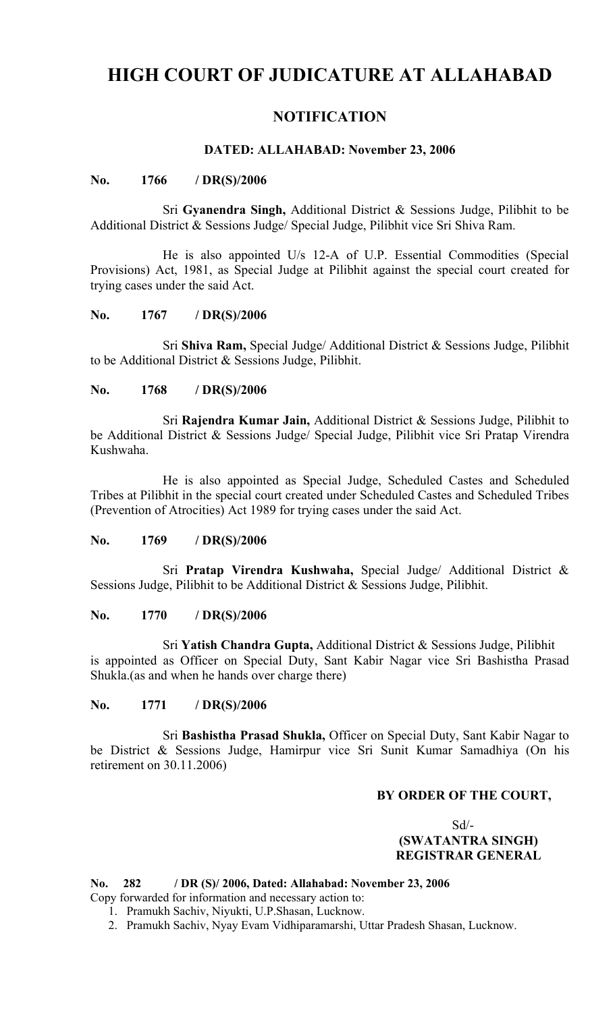# **HIGH COURT OF JUDICATURE AT ALLAHABAD**

## **NOTIFICATION**

## **DATED: ALLAHABAD: November 23, 2006**

## **No. 1766 / DR(S)/2006**

Sri **Gyanendra Singh,** Additional District & Sessions Judge, Pilibhit to be Additional District & Sessions Judge/ Special Judge, Pilibhit vice Sri Shiva Ram.

He is also appointed U/s 12-A of U.P. Essential Commodities (Special Provisions) Act, 1981, as Special Judge at Pilibhit against the special court created for trying cases under the said Act.

## **No. 1767 / DR(S)/2006**

Sri **Shiva Ram,** Special Judge/ Additional District & Sessions Judge, Pilibhit to be Additional District & Sessions Judge, Pilibhit.

## **No. 1768 / DR(S)/2006**

Sri **Rajendra Kumar Jain,** Additional District & Sessions Judge, Pilibhit to be Additional District & Sessions Judge/ Special Judge, Pilibhit vice Sri Pratap Virendra Kushwaha.

He is also appointed as Special Judge, Scheduled Castes and Scheduled Tribes at Pilibhit in the special court created under Scheduled Castes and Scheduled Tribes (Prevention of Atrocities) Act 1989 for trying cases under the said Act.

#### **No. 1769 / DR(S)/2006**

Sri **Pratap Virendra Kushwaha,** Special Judge/ Additional District & Sessions Judge, Pilibhit to be Additional District & Sessions Judge, Pilibhit.

#### **No. 1770 / DR(S)/2006**

Sri **Yatish Chandra Gupta,** Additional District & Sessions Judge, Pilibhit is appointed as Officer on Special Duty, Sant Kabir Nagar vice Sri Bashistha Prasad Shukla.(as and when he hands over charge there)

#### **No. 1771 / DR(S)/2006**

Sri **Bashistha Prasad Shukla,** Officer on Special Duty, Sant Kabir Nagar to be District & Sessions Judge, Hamirpur vice Sri Sunit Kumar Samadhiya (On his retirement on 30.11.2006)

## **BY ORDER OF THE COURT,**

## Sd/-  **(SWATANTRA SINGH) REGISTRAR GENERAL**

#### **No. 282 / DR (S)/ 2006, Dated: Allahabad: November 23, 2006** Copy forwarded for information and necessary action to:

1. Pramukh Sachiv, Niyukti, U.P.Shasan, Lucknow.

2. Pramukh Sachiv, Nyay Evam Vidhiparamarshi, Uttar Pradesh Shasan, Lucknow.